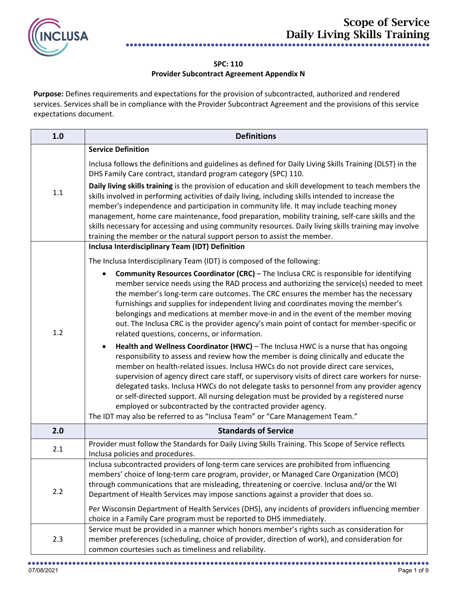

## **SPC: 110 Provider Subcontract Agreement Appendix N**

**Purpose:** Defines requirements and expectations for the provision of subcontracted, authorized and rendered services. Services shall be in compliance with the Provider Subcontract Agreement and the provisions of this service expectations document.

| 1.0 | <b>Definitions</b>                                                                                                                                                                                                                                                                                                                                                                                                                                                                                                                                                                                                                                                                                              |
|-----|-----------------------------------------------------------------------------------------------------------------------------------------------------------------------------------------------------------------------------------------------------------------------------------------------------------------------------------------------------------------------------------------------------------------------------------------------------------------------------------------------------------------------------------------------------------------------------------------------------------------------------------------------------------------------------------------------------------------|
|     | <b>Service Definition</b>                                                                                                                                                                                                                                                                                                                                                                                                                                                                                                                                                                                                                                                                                       |
| 1.1 | Inclusa follows the definitions and guidelines as defined for Daily Living Skills Training (DLST) in the<br>DHS Family Care contract, standard program category (SPC) 110.                                                                                                                                                                                                                                                                                                                                                                                                                                                                                                                                      |
|     | Daily living skills training is the provision of education and skill development to teach members the<br>skills involved in performing activities of daily living, including skills intended to increase the<br>member's independence and participation in community life. It may include teaching money<br>management, home care maintenance, food preparation, mobility training, self-care skills and the<br>skills necessary for accessing and using community resources. Daily living skills training may involve<br>training the member or the natural support person to assist the member.                                                                                                               |
|     | Inclusa Interdisciplinary Team (IDT) Definition                                                                                                                                                                                                                                                                                                                                                                                                                                                                                                                                                                                                                                                                 |
|     | The Inclusa Interdisciplinary Team (IDT) is composed of the following:                                                                                                                                                                                                                                                                                                                                                                                                                                                                                                                                                                                                                                          |
| 1.2 | <b>Community Resources Coordinator (CRC)</b> - The Inclusa CRC is responsible for identifying<br>$\bullet$<br>member service needs using the RAD process and authorizing the service(s) needed to meet<br>the member's long-term care outcomes. The CRC ensures the member has the necessary<br>furnishings and supplies for independent living and coordinates moving the member's<br>belongings and medications at member move-in and in the event of the member moving<br>out. The Inclusa CRC is the provider agency's main point of contact for member-specific or<br>related questions, concerns, or information.                                                                                         |
|     | Health and Wellness Coordinator (HWC) - The Inclusa HWC is a nurse that has ongoing<br>responsibility to assess and review how the member is doing clinically and educate the<br>member on health-related issues. Inclusa HWCs do not provide direct care services,<br>supervision of agency direct care staff, or supervisory visits of direct care workers for nurse-<br>delegated tasks. Inclusa HWCs do not delegate tasks to personnel from any provider agency<br>or self-directed support. All nursing delegation must be provided by a registered nurse<br>employed or subcontracted by the contracted provider agency.<br>The IDT may also be referred to as "Inclusa Team" or "Care Management Team." |
| 2.0 | <b>Standards of Service</b>                                                                                                                                                                                                                                                                                                                                                                                                                                                                                                                                                                                                                                                                                     |
| 2.1 | Provider must follow the Standards for Daily Living Skills Training. This Scope of Service reflects<br>Inclusa policies and procedures.                                                                                                                                                                                                                                                                                                                                                                                                                                                                                                                                                                         |
| 2.2 | Inclusa subcontracted providers of long-term care services are prohibited from influencing<br>members' choice of long-term care program, provider, or Managed Care Organization (MCO)<br>through communications that are misleading, threatening or coercive. Inclusa and/or the WI<br>Department of Health Services may impose sanctions against a provider that does so.<br>Per Wisconsin Department of Health Services (DHS), any incidents of providers influencing member<br>choice in a Family Care program must be reported to DHS immediately.                                                                                                                                                          |
| 2.3 | Service must be provided in a manner which honors member's rights such as consideration for<br>member preferences (scheduling, choice of provider, direction of work), and consideration for<br>common courtesies such as timeliness and reliability.                                                                                                                                                                                                                                                                                                                                                                                                                                                           |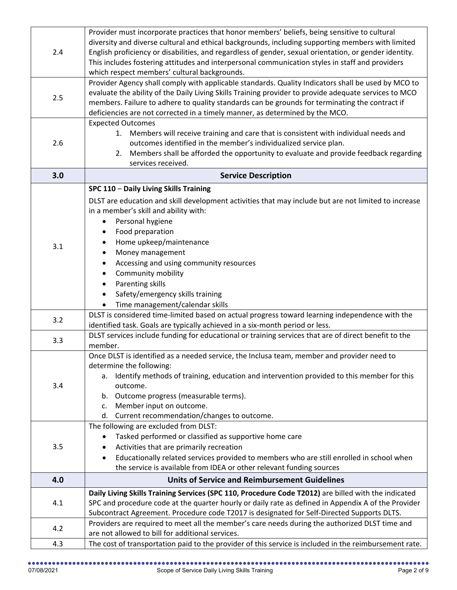| 2.4 | Provider must incorporate practices that honor members' beliefs, being sensitive to cultural<br>diversity and diverse cultural and ethical backgrounds, including supporting members with limited<br>English proficiency or disabilities, and regardless of gender, sexual orientation, or gender identity.<br>This includes fostering attitudes and interpersonal communication styles in staff and providers<br>which respect members' cultural backgrounds. |
|-----|----------------------------------------------------------------------------------------------------------------------------------------------------------------------------------------------------------------------------------------------------------------------------------------------------------------------------------------------------------------------------------------------------------------------------------------------------------------|
| 2.5 | Provider Agency shall comply with applicable standards. Quality Indicators shall be used by MCO to<br>evaluate the ability of the Daily Living Skills Training provider to provide adequate services to MCO<br>members. Failure to adhere to quality standards can be grounds for terminating the contract if<br>deficiencies are not corrected in a timely manner, as determined by the MCO.                                                                  |
| 2.6 | <b>Expected Outcomes</b><br>Members will receive training and care that is consistent with individual needs and<br>1.<br>outcomes identified in the member's individualized service plan.<br>Members shall be afforded the opportunity to evaluate and provide feedback regarding<br>2.<br>services received.                                                                                                                                                  |
| 3.0 | <b>Service Description</b>                                                                                                                                                                                                                                                                                                                                                                                                                                     |
| 3.1 | SPC 110 - Daily Living Skills Training<br>DLST are education and skill development activities that may include but are not limited to increase<br>in a member's skill and ability with:<br>Personal hygiene<br>Food preparation<br>Home upkeep/maintenance<br>٠<br>Money management<br>$\bullet$<br>Accessing and using community resources<br>Community mobility<br>Parenting skills<br>Safety/emergency skills training<br>Time management/calendar skills   |
| 3.2 | DLST is considered time-limited based on actual progress toward learning independence with the<br>identified task. Goals are typically achieved in a six-month period or less.                                                                                                                                                                                                                                                                                 |
| 3.3 | DLST services include funding for educational or training services that are of direct benefit to the<br>member.                                                                                                                                                                                                                                                                                                                                                |
| 3.4 | Once DLST is identified as a needed service, the Inclusa team, member and provider need to<br>determine the following:<br>a. Identify methods of training, education and intervention provided to this member for this<br>outcome.<br>Outcome progress (measurable terms).<br>b.<br>Member input on outcome.<br>c.<br>Current recommendation/changes to outcome.<br>d.                                                                                         |
| 3.5 | The following are excluded from DLST:<br>Tasked performed or classified as supportive home care<br>٠<br>Activities that are primarily recreation<br>Educationally related services provided to members who are still enrolled in school when<br>the service is available from IDEA or other relevant funding sources                                                                                                                                           |
| 4.0 | <b>Units of Service and Reimbursement Guidelines</b>                                                                                                                                                                                                                                                                                                                                                                                                           |
| 4.1 | Daily Living Skills Training Services (SPC 110, Procedure Code T2012) are billed with the indicated<br>SPC and procedure code at the quarter hourly or daily rate as defined in Appendix A of the Provider<br>Subcontract Agreement. Procedure code T2017 is designated for Self-Directed Supports DLTS.                                                                                                                                                       |
| 4.2 | Providers are required to meet all the member's care needs during the authorized DLST time and<br>are not allowed to bill for additional services.                                                                                                                                                                                                                                                                                                             |
| 4.3 | The cost of transportation paid to the provider of this service is included in the reimbursement rate.                                                                                                                                                                                                                                                                                                                                                         |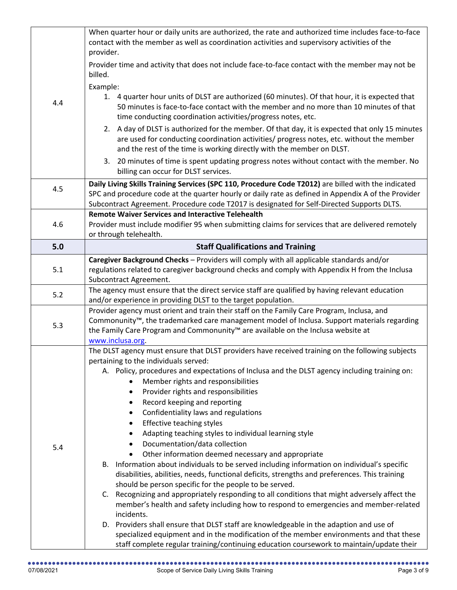|     | When quarter hour or daily units are authorized, the rate and authorized time includes face-to-face<br>contact with the member as well as coordination activities and supervisory activities of the<br>provider.                                                     |
|-----|----------------------------------------------------------------------------------------------------------------------------------------------------------------------------------------------------------------------------------------------------------------------|
|     | Provider time and activity that does not include face-to-face contact with the member may not be<br>billed.                                                                                                                                                          |
|     | Example:                                                                                                                                                                                                                                                             |
| 4.4 | 1. 4 quarter hour units of DLST are authorized (60 minutes). Of that hour, it is expected that<br>50 minutes is face-to-face contact with the member and no more than 10 minutes of that<br>time conducting coordination activities/progress notes, etc.             |
|     | 2. A day of DLST is authorized for the member. Of that day, it is expected that only 15 minutes<br>are used for conducting coordination activities/ progress notes, etc. without the member<br>and the rest of the time is working directly with the member on DLST. |
|     | 3. 20 minutes of time is spent updating progress notes without contact with the member. No<br>billing can occur for DLST services.                                                                                                                                   |
| 4.5 | Daily Living Skills Training Services (SPC 110, Procedure Code T2012) are billed with the indicated                                                                                                                                                                  |
|     | SPC and procedure code at the quarter hourly or daily rate as defined in Appendix A of the Provider                                                                                                                                                                  |
|     | Subcontract Agreement. Procedure code T2017 is designated for Self-Directed Supports DLTS.                                                                                                                                                                           |
|     | <b>Remote Waiver Services and Interactive Telehealth</b>                                                                                                                                                                                                             |
| 4.6 | Provider must include modifier 95 when submitting claims for services that are delivered remotely                                                                                                                                                                    |
| 5.0 | or through telehealth.<br><b>Staff Qualifications and Training</b>                                                                                                                                                                                                   |
|     | Caregiver Background Checks - Providers will comply with all applicable standards and/or                                                                                                                                                                             |
| 5.1 | regulations related to caregiver background checks and comply with Appendix H from the Inclusa                                                                                                                                                                       |
|     | Subcontract Agreement.                                                                                                                                                                                                                                               |
|     | The agency must ensure that the direct service staff are qualified by having relevant education                                                                                                                                                                      |
| 5.2 | and/or experience in providing DLST to the target population.                                                                                                                                                                                                        |
|     | Provider agency must orient and train their staff on the Family Care Program, Inclusa, and                                                                                                                                                                           |
| 5.3 | Commonunity <sup>™</sup> , the trademarked care management model of Inclusa. Support materials regarding                                                                                                                                                             |
|     | the Family Care Program and Commonunity <sup>™</sup> are available on the Inclusa website at                                                                                                                                                                         |
|     | www.inclusa.org.                                                                                                                                                                                                                                                     |
|     | The DLST agency must ensure that DLST providers have received training on the following subjects<br>pertaining to the individuals served:                                                                                                                            |
|     | A. Policy, procedures and expectations of Inclusa and the DLST agency including training on:                                                                                                                                                                         |
|     | Member rights and responsibilities                                                                                                                                                                                                                                   |
|     | Provider rights and responsibilities<br>٠                                                                                                                                                                                                                            |
|     | Record keeping and reporting<br>٠                                                                                                                                                                                                                                    |
|     | Confidentiality laws and regulations                                                                                                                                                                                                                                 |
|     | Effective teaching styles                                                                                                                                                                                                                                            |
|     | Adapting teaching styles to individual learning style                                                                                                                                                                                                                |
| 5.4 | Documentation/data collection                                                                                                                                                                                                                                        |
|     | Other information deemed necessary and appropriate                                                                                                                                                                                                                   |
|     | B. Information about individuals to be served including information on individual's specific                                                                                                                                                                         |
|     | disabilities, abilities, needs, functional deficits, strengths and preferences. This training<br>should be person specific for the people to be served.                                                                                                              |
|     | Recognizing and appropriately responding to all conditions that might adversely affect the<br>C.                                                                                                                                                                     |
|     | member's health and safety including how to respond to emergencies and member-related<br>incidents.                                                                                                                                                                  |
|     | D. Providers shall ensure that DLST staff are knowledgeable in the adaption and use of                                                                                                                                                                               |
|     | specialized equipment and in the modification of the member environments and that these<br>staff complete regular training/continuing education coursework to maintain/update their                                                                                  |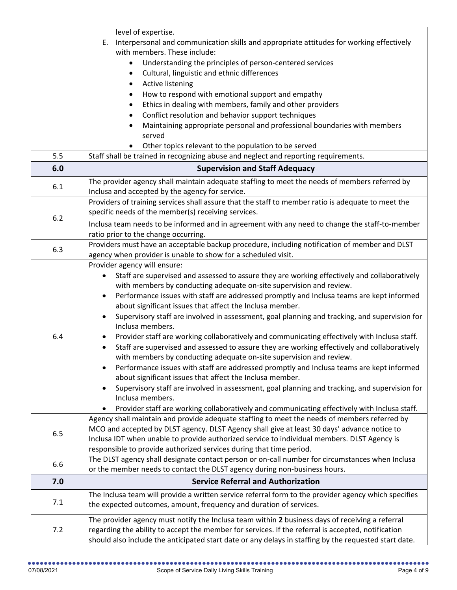|     | level of expertise.                                                                                                                                            |
|-----|----------------------------------------------------------------------------------------------------------------------------------------------------------------|
|     | Interpersonal and communication skills and appropriate attitudes for working effectively<br>Ε.                                                                 |
|     | with members. These include:                                                                                                                                   |
|     | Understanding the principles of person-centered services                                                                                                       |
|     | Cultural, linguistic and ethnic differences                                                                                                                    |
|     | Active listening                                                                                                                                               |
|     | How to respond with emotional support and empathy                                                                                                              |
|     | Ethics in dealing with members, family and other providers                                                                                                     |
|     | Conflict resolution and behavior support techniques                                                                                                            |
|     | Maintaining appropriate personal and professional boundaries with members                                                                                      |
|     | served                                                                                                                                                         |
|     | Other topics relevant to the population to be served                                                                                                           |
| 5.5 | Staff shall be trained in recognizing abuse and neglect and reporting requirements.                                                                            |
| 6.0 | <b>Supervision and Staff Adequacy</b>                                                                                                                          |
| 6.1 | The provider agency shall maintain adequate staffing to meet the needs of members referred by                                                                  |
|     | Inclusa and accepted by the agency for service.                                                                                                                |
|     | Providers of training services shall assure that the staff to member ratio is adequate to meet the                                                             |
| 6.2 | specific needs of the member(s) receiving services.                                                                                                            |
|     | Inclusa team needs to be informed and in agreement with any need to change the staff-to-member                                                                 |
|     | ratio prior to the change occurring.                                                                                                                           |
| 6.3 | Providers must have an acceptable backup procedure, including notification of member and DLST<br>agency when provider is unable to show for a scheduled visit. |
|     | Provider agency will ensure:                                                                                                                                   |
|     | Staff are supervised and assessed to assure they are working effectively and collaboratively                                                                   |
|     | with members by conducting adequate on-site supervision and review.                                                                                            |
|     | Performance issues with staff are addressed promptly and Inclusa teams are kept informed<br>$\bullet$                                                          |
|     | about significant issues that affect the Inclusa member.                                                                                                       |
|     | Supervisory staff are involved in assessment, goal planning and tracking, and supervision for                                                                  |
|     | Inclusa members.                                                                                                                                               |
| 6.4 | Provider staff are working collaboratively and communicating effectively with Inclusa staff.<br>$\bullet$                                                      |
|     | Staff are supervised and assessed to assure they are working effectively and collaboratively                                                                   |
|     | with members by conducting adequate on-site supervision and review.                                                                                            |
|     | Performance issues with staff are addressed promptly and Inclusa teams are kept informed                                                                       |
|     | about significant issues that affect the Inclusa member.                                                                                                       |
|     | Supervisory staff are involved in assessment, goal planning and tracking, and supervision for                                                                  |
|     | Inclusa members.<br>Provider staff are working collaboratively and communicating effectively with Inclusa staff.                                               |
|     | Agency shall maintain and provide adequate staffing to meet the needs of members referred by                                                                   |
|     | MCO and accepted by DLST agency. DLST Agency shall give at least 30 days' advance notice to                                                                    |
| 6.5 | Inclusa IDT when unable to provide authorized service to individual members. DLST Agency is                                                                    |
|     | responsible to provide authorized services during that time period.                                                                                            |
|     | The DLST agency shall designate contact person or on-call number for circumstances when Inclusa                                                                |
| 6.6 | or the member needs to contact the DLST agency during non-business hours.                                                                                      |
| 7.0 | <b>Service Referral and Authorization</b>                                                                                                                      |
|     | The Inclusa team will provide a written service referral form to the provider agency which specifies                                                           |
| 7.1 | the expected outcomes, amount, frequency and duration of services.                                                                                             |
| 7.2 | The provider agency must notify the Inclusa team within 2 business days of receiving a referral                                                                |
|     | regarding the ability to accept the member for services. If the referral is accepted, notification                                                             |
|     | should also include the anticipated start date or any delays in staffing by the requested start date.                                                          |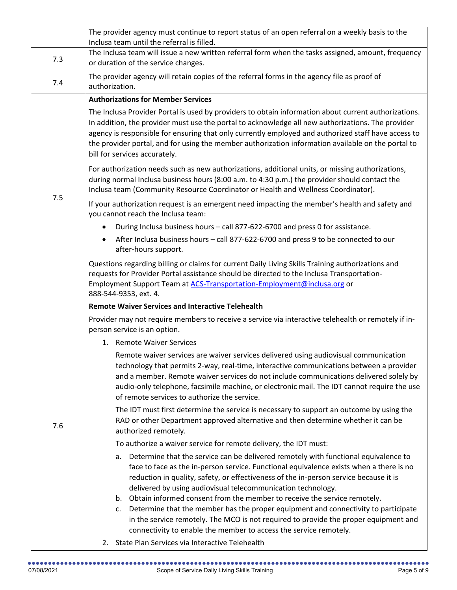|     | The provider agency must continue to report status of an open referral on a weekly basis to the<br>Inclusa team until the referral is filled.                                                                                                                                                                                                                                                                                                                                                                                                                                                                                                                                                                                                                                                                                                                                                                                                                                                                                                                                                                                                                                                                                                                                                                                                                                                                                                                                                                                                                                                                                                                                                                   |
|-----|-----------------------------------------------------------------------------------------------------------------------------------------------------------------------------------------------------------------------------------------------------------------------------------------------------------------------------------------------------------------------------------------------------------------------------------------------------------------------------------------------------------------------------------------------------------------------------------------------------------------------------------------------------------------------------------------------------------------------------------------------------------------------------------------------------------------------------------------------------------------------------------------------------------------------------------------------------------------------------------------------------------------------------------------------------------------------------------------------------------------------------------------------------------------------------------------------------------------------------------------------------------------------------------------------------------------------------------------------------------------------------------------------------------------------------------------------------------------------------------------------------------------------------------------------------------------------------------------------------------------------------------------------------------------------------------------------------------------|
| 7.3 | The Inclusa team will issue a new written referral form when the tasks assigned, amount, frequency<br>or duration of the service changes.                                                                                                                                                                                                                                                                                                                                                                                                                                                                                                                                                                                                                                                                                                                                                                                                                                                                                                                                                                                                                                                                                                                                                                                                                                                                                                                                                                                                                                                                                                                                                                       |
| 7.4 | The provider agency will retain copies of the referral forms in the agency file as proof of<br>authorization.                                                                                                                                                                                                                                                                                                                                                                                                                                                                                                                                                                                                                                                                                                                                                                                                                                                                                                                                                                                                                                                                                                                                                                                                                                                                                                                                                                                                                                                                                                                                                                                                   |
| 7.5 | <b>Authorizations for Member Services</b><br>The Inclusa Provider Portal is used by providers to obtain information about current authorizations.<br>In addition, the provider must use the portal to acknowledge all new authorizations. The provider<br>agency is responsible for ensuring that only currently employed and authorized staff have access to<br>the provider portal, and for using the member authorization information available on the portal to<br>bill for services accurately.<br>For authorization needs such as new authorizations, additional units, or missing authorizations,<br>during normal Inclusa business hours (8:00 a.m. to 4:30 p.m.) the provider should contact the<br>Inclusa team (Community Resource Coordinator or Health and Wellness Coordinator).<br>If your authorization request is an emergent need impacting the member's health and safety and<br>you cannot reach the Inclusa team:<br>During Inclusa business hours - call 877-622-6700 and press 0 for assistance.<br>$\bullet$<br>After Inclusa business hours - call 877-622-6700 and press 9 to be connected to our<br>$\bullet$<br>after-hours support.<br>Questions regarding billing or claims for current Daily Living Skills Training authorizations and<br>requests for Provider Portal assistance should be directed to the Inclusa Transportation-<br>Employment Support Team at ACS-Transportation-Employment@inclusa.org or                                                                                                                                                                                                                                                                   |
| 7.6 | 888-544-9353, ext. 4.<br><b>Remote Waiver Services and Interactive Telehealth</b><br>Provider may not require members to receive a service via interactive telehealth or remotely if in-<br>person service is an option.<br>1. Remote Waiver Services<br>Remote waiver services are waiver services delivered using audiovisual communication<br>technology that permits 2-way, real-time, interactive communications between a provider<br>and a member. Remote waiver services do not include communications delivered solely by<br>audio-only telephone, facsimile machine, or electronic mail. The IDT cannot require the use<br>of remote services to authorize the service.<br>The IDT must first determine the service is necessary to support an outcome by using the<br>RAD or other Department approved alternative and then determine whether it can be<br>authorized remotely.<br>To authorize a waiver service for remote delivery, the IDT must:<br>Determine that the service can be delivered remotely with functional equivalence to<br>а.<br>face to face as the in-person service. Functional equivalence exists when a there is no<br>reduction in quality, safety, or effectiveness of the in-person service because it is<br>delivered by using audiovisual telecommunication technology.<br>Obtain informed consent from the member to receive the service remotely.<br>b.<br>Determine that the member has the proper equipment and connectivity to participate<br>c.<br>in the service remotely. The MCO is not required to provide the proper equipment and<br>connectivity to enable the member to access the service remotely.<br>2. State Plan Services via Interactive Telehealth |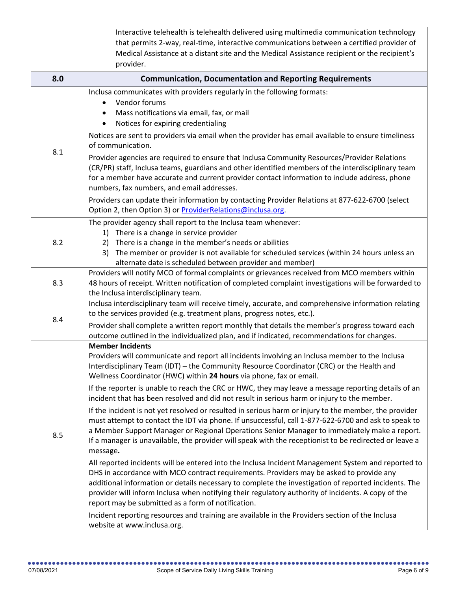|     | Interactive telehealth is telehealth delivered using multimedia communication technology                                                    |
|-----|---------------------------------------------------------------------------------------------------------------------------------------------|
|     | that permits 2-way, real-time, interactive communications between a certified provider of                                                   |
|     | Medical Assistance at a distant site and the Medical Assistance recipient or the recipient's                                                |
|     | provider.                                                                                                                                   |
| 8.0 | <b>Communication, Documentation and Reporting Requirements</b>                                                                              |
|     | Inclusa communicates with providers regularly in the following formats:                                                                     |
|     | Vendor forums                                                                                                                               |
|     | Mass notifications via email, fax, or mail                                                                                                  |
|     | Notices for expiring credentialing                                                                                                          |
|     | Notices are sent to providers via email when the provider has email available to ensure timeliness<br>of communication.                     |
| 8.1 | Provider agencies are required to ensure that Inclusa Community Resources/Provider Relations                                                |
|     | (CR/PR) staff, Inclusa teams, guardians and other identified members of the interdisciplinary team                                          |
|     | for a member have accurate and current provider contact information to include address, phone                                               |
|     | numbers, fax numbers, and email addresses.                                                                                                  |
|     | Providers can update their information by contacting Provider Relations at 877-622-6700 (select                                             |
|     | Option 2, then Option 3) or ProviderRelations@inclusa.org.                                                                                  |
|     | The provider agency shall report to the Inclusa team whenever:                                                                              |
|     | There is a change in service provider<br>1)                                                                                                 |
| 8.2 | There is a change in the member's needs or abilities<br>2)                                                                                  |
|     | The member or provider is not available for scheduled services (within 24 hours unless an<br>3)                                             |
|     | alternate date is scheduled between provider and member)                                                                                    |
| 8.3 | Providers will notify MCO of formal complaints or grievances received from MCO members within                                               |
|     | 48 hours of receipt. Written notification of completed complaint investigations will be forwarded to<br>the Inclusa interdisciplinary team. |
|     | Inclusa interdisciplinary team will receive timely, accurate, and comprehensive information relating                                        |
|     | to the services provided (e.g. treatment plans, progress notes, etc.).                                                                      |
| 8.4 | Provider shall complete a written report monthly that details the member's progress toward each                                             |
|     | outcome outlined in the individualized plan, and if indicated, recommendations for changes.                                                 |
|     | <b>Member Incidents</b>                                                                                                                     |
|     | Providers will communicate and report all incidents involving an Inclusa member to the Inclusa                                              |
|     | Interdisciplinary Team (IDT) - the Community Resource Coordinator (CRC) or the Health and                                                   |
|     | Wellness Coordinator (HWC) within 24 hours via phone, fax or email.                                                                         |
|     | If the reporter is unable to reach the CRC or HWC, they may leave a message reporting details of an                                         |
|     | incident that has been resolved and did not result in serious harm or injury to the member.                                                 |
|     | If the incident is not yet resolved or resulted in serious harm or injury to the member, the provider                                       |
|     | must attempt to contact the IDT via phone. If unsuccessful, call 1-877-622-6700 and ask to speak to                                         |
| 8.5 | a Member Support Manager or Regional Operations Senior Manager to immediately make a report.                                                |
|     | If a manager is unavailable, the provider will speak with the receptionist to be redirected or leave a<br>message.                          |
|     | All reported incidents will be entered into the Inclusa Incident Management System and reported to                                          |
|     | DHS in accordance with MCO contract requirements. Providers may be asked to provide any                                                     |
|     | additional information or details necessary to complete the investigation of reported incidents. The                                        |
|     | provider will inform Inclusa when notifying their regulatory authority of incidents. A copy of the                                          |
|     | report may be submitted as a form of notification.                                                                                          |
|     | Incident reporting resources and training are available in the Providers section of the Inclusa                                             |
|     | website at www.inclusa.org.                                                                                                                 |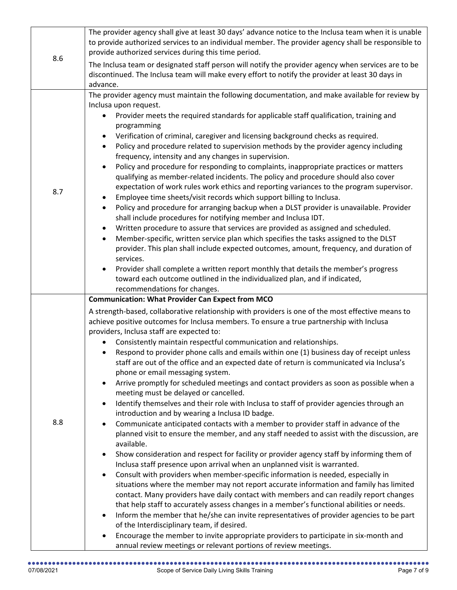| 8.6 | The provider agency shall give at least 30 days' advance notice to the Inclusa team when it is unable<br>to provide authorized services to an individual member. The provider agency shall be responsible to<br>provide authorized services during this time period.                                                                                                                                                                                                                                                                                                                                                                                                                                                                                                                                                                                                                                                                                                                                                                                                                                                                                                                                                                                                                                                                                                                                                                                                                                                                                                                                                                                                                                                                                                                                                                                                                                                                                                                                              |
|-----|-------------------------------------------------------------------------------------------------------------------------------------------------------------------------------------------------------------------------------------------------------------------------------------------------------------------------------------------------------------------------------------------------------------------------------------------------------------------------------------------------------------------------------------------------------------------------------------------------------------------------------------------------------------------------------------------------------------------------------------------------------------------------------------------------------------------------------------------------------------------------------------------------------------------------------------------------------------------------------------------------------------------------------------------------------------------------------------------------------------------------------------------------------------------------------------------------------------------------------------------------------------------------------------------------------------------------------------------------------------------------------------------------------------------------------------------------------------------------------------------------------------------------------------------------------------------------------------------------------------------------------------------------------------------------------------------------------------------------------------------------------------------------------------------------------------------------------------------------------------------------------------------------------------------------------------------------------------------------------------------------------------------|
|     | The Inclusa team or designated staff person will notify the provider agency when services are to be<br>discontinued. The Inclusa team will make every effort to notify the provider at least 30 days in<br>advance.                                                                                                                                                                                                                                                                                                                                                                                                                                                                                                                                                                                                                                                                                                                                                                                                                                                                                                                                                                                                                                                                                                                                                                                                                                                                                                                                                                                                                                                                                                                                                                                                                                                                                                                                                                                               |
| 8.7 | The provider agency must maintain the following documentation, and make available for review by<br>Inclusa upon request.<br>Provider meets the required standards for applicable staff qualification, training and<br>programming<br>Verification of criminal, caregiver and licensing background checks as required.<br>$\bullet$<br>Policy and procedure related to supervision methods by the provider agency including<br>$\bullet$<br>frequency, intensity and any changes in supervision.<br>Policy and procedure for responding to complaints, inappropriate practices or matters<br>$\bullet$<br>qualifying as member-related incidents. The policy and procedure should also cover<br>expectation of work rules work ethics and reporting variances to the program supervisor.<br>Employee time sheets/visit records which support billing to Inclusa.<br>$\bullet$<br>Policy and procedure for arranging backup when a DLST provider is unavailable. Provider<br>$\bullet$<br>shall include procedures for notifying member and Inclusa IDT.<br>Written procedure to assure that services are provided as assigned and scheduled.<br>$\bullet$<br>Member-specific, written service plan which specifies the tasks assigned to the DLST<br>provider. This plan shall include expected outcomes, amount, frequency, and duration of<br>services.<br>Provider shall complete a written report monthly that details the member's progress<br>toward each outcome outlined in the individualized plan, and if indicated,<br>recommendations for changes.                                                                                                                                                                                                                                                                                                                                                                                                                                                     |
| 8.8 | <b>Communication: What Provider Can Expect from MCO</b><br>A strength-based, collaborative relationship with providers is one of the most effective means to<br>achieve positive outcomes for Inclusa members. To ensure a true partnership with Inclusa<br>providers, Inclusa staff are expected to:<br>Consistently maintain respectful communication and relationships.<br>Respond to provider phone calls and emails within one (1) business day of receipt unless<br>staff are out of the office and an expected date of return is communicated via Inclusa's<br>phone or email messaging system.<br>Arrive promptly for scheduled meetings and contact providers as soon as possible when a<br>$\bullet$<br>meeting must be delayed or cancelled.<br>Identify themselves and their role with Inclusa to staff of provider agencies through an<br>$\bullet$<br>introduction and by wearing a Inclusa ID badge.<br>Communicate anticipated contacts with a member to provider staff in advance of the<br>planned visit to ensure the member, and any staff needed to assist with the discussion, are<br>available.<br>Show consideration and respect for facility or provider agency staff by informing them of<br>$\bullet$<br>Inclusa staff presence upon arrival when an unplanned visit is warranted.<br>Consult with providers when member-specific information is needed, especially in<br>$\bullet$<br>situations where the member may not report accurate information and family has limited<br>contact. Many providers have daily contact with members and can readily report changes<br>that help staff to accurately assess changes in a member's functional abilities or needs.<br>Inform the member that he/she can invite representatives of provider agencies to be part<br>$\bullet$<br>of the Interdisciplinary team, if desired.<br>Encourage the member to invite appropriate providers to participate in six-month and<br>annual review meetings or relevant portions of review meetings. |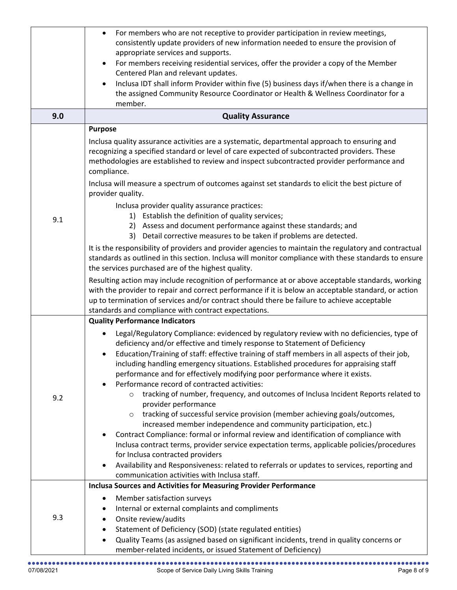|     | For members who are not receptive to provider participation in review meetings,<br>$\bullet$<br>consistently update providers of new information needed to ensure the provision of<br>appropriate services and supports.<br>For members receiving residential services, offer the provider a copy of the Member<br>$\bullet$                                                                                                                                                                                                           |
|-----|----------------------------------------------------------------------------------------------------------------------------------------------------------------------------------------------------------------------------------------------------------------------------------------------------------------------------------------------------------------------------------------------------------------------------------------------------------------------------------------------------------------------------------------|
|     | Centered Plan and relevant updates.                                                                                                                                                                                                                                                                                                                                                                                                                                                                                                    |
|     | Inclusa IDT shall inform Provider within five (5) business days if/when there is a change in<br>$\bullet$<br>the assigned Community Resource Coordinator or Health & Wellness Coordinator for a                                                                                                                                                                                                                                                                                                                                        |
|     | member.                                                                                                                                                                                                                                                                                                                                                                                                                                                                                                                                |
| 9.0 | <b>Quality Assurance</b>                                                                                                                                                                                                                                                                                                                                                                                                                                                                                                               |
|     | <b>Purpose</b>                                                                                                                                                                                                                                                                                                                                                                                                                                                                                                                         |
|     | Inclusa quality assurance activities are a systematic, departmental approach to ensuring and<br>recognizing a specified standard or level of care expected of subcontracted providers. These<br>methodologies are established to review and inspect subcontracted provider performance and<br>compliance.                                                                                                                                                                                                                              |
|     | Inclusa will measure a spectrum of outcomes against set standards to elicit the best picture of<br>provider quality.                                                                                                                                                                                                                                                                                                                                                                                                                   |
| 9.1 | Inclusa provider quality assurance practices:<br>1) Establish the definition of quality services;<br>2) Assess and document performance against these standards; and<br>3) Detail corrective measures to be taken if problems are detected.                                                                                                                                                                                                                                                                                            |
|     | It is the responsibility of providers and provider agencies to maintain the regulatory and contractual<br>standards as outlined in this section. Inclusa will monitor compliance with these standards to ensure<br>the services purchased are of the highest quality.                                                                                                                                                                                                                                                                  |
|     | Resulting action may include recognition of performance at or above acceptable standards, working<br>with the provider to repair and correct performance if it is below an acceptable standard, or action<br>up to termination of services and/or contract should there be failure to achieve acceptable<br>standards and compliance with contract expectations.                                                                                                                                                                       |
|     | <b>Quality Performance Indicators</b>                                                                                                                                                                                                                                                                                                                                                                                                                                                                                                  |
|     | Legal/Regulatory Compliance: evidenced by regulatory review with no deficiencies, type of<br>$\bullet$<br>deficiency and/or effective and timely response to Statement of Deficiency<br>Education/Training of staff: effective training of staff members in all aspects of their job,<br>$\bullet$<br>including handling emergency situations. Established procedures for appraising staff<br>performance and for effectively modifying poor performance where it exists.<br>Performance record of contracted activities:<br>$\bullet$ |
| 9.2 | tracking of number, frequency, and outcomes of Inclusa Incident Reports related to<br>provider performance<br>tracking of successful service provision (member achieving goals/outcomes,<br>$\circ$                                                                                                                                                                                                                                                                                                                                    |
|     | increased member independence and community participation, etc.)<br>Contract Compliance: formal or informal review and identification of compliance with<br>Inclusa contract terms, provider service expectation terms, applicable policies/procedures<br>for Inclusa contracted providers<br>Availability and Responsiveness: related to referrals or updates to services, reporting and<br>٠                                                                                                                                         |
|     | communication activities with Inclusa staff.                                                                                                                                                                                                                                                                                                                                                                                                                                                                                           |
|     | <b>Inclusa Sources and Activities for Measuring Provider Performance</b>                                                                                                                                                                                                                                                                                                                                                                                                                                                               |
|     | Member satisfaction surveys<br>٠<br>Internal or external complaints and compliments<br>٠                                                                                                                                                                                                                                                                                                                                                                                                                                               |
| 9.3 | Onsite review/audits<br>٠                                                                                                                                                                                                                                                                                                                                                                                                                                                                                                              |
|     | Statement of Deficiency (SOD) (state regulated entities)<br>٠                                                                                                                                                                                                                                                                                                                                                                                                                                                                          |
|     | Quality Teams (as assigned based on significant incidents, trend in quality concerns or<br>$\bullet$<br>member-related incidents, or issued Statement of Deficiency)                                                                                                                                                                                                                                                                                                                                                                   |